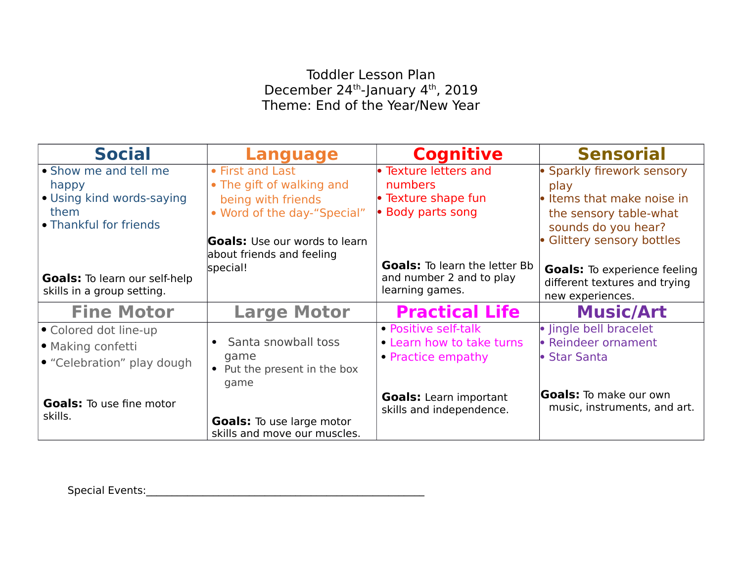## Toddler Lesson Plan December 24<sup>th</sup>-January 4<sup>th</sup>, 2019 Theme: End of the Year/New Year

| <b>Social</b>                                                      | <b>Language</b>                      | <b>Cognitive</b>                                                 | <b>Sensorial</b>                                              |
|--------------------------------------------------------------------|--------------------------------------|------------------------------------------------------------------|---------------------------------------------------------------|
| • Show me and tell me                                              | • First and Last                     | • Texture letters and                                            | • Sparkly firework sensory                                    |
| happy                                                              | • The gift of walking and            | numbers                                                          | play                                                          |
| • Using kind words-saying                                          | being with friends                   | • Texture shape fun                                              | $\bullet$ Items that make noise in                            |
| them                                                               | • Word of the day-"Special"          | • Body parts song                                                | the sensory table-what                                        |
| • Thankful for friends                                             |                                      |                                                                  | sounds do you hear?                                           |
|                                                                    | <b>Goals:</b> Use our words to learn |                                                                  | • Glittery sensory bottles                                    |
|                                                                    | about friends and feeling            |                                                                  |                                                               |
|                                                                    | special!                             | <b>Goals:</b> To learn the letter Bb<br>and number 2 and to play | <b>Goals:</b> To experience feeling                           |
| <b>Goals:</b> To learn our self-help<br>skills in a group setting. |                                      | learning games.                                                  | different textures and trying                                 |
|                                                                    |                                      |                                                                  | new experiences.                                              |
| <b>Fine Motor</b>                                                  | <b>Large Motor</b>                   | <b>Practical Life</b>                                            | <b>Music/Art</b>                                              |
| • Colored dot line-up                                              |                                      | • Positive self-talk                                             | · lingle bell bracelet                                        |
| • Making confetti                                                  | • Santa snowball toss                | • Learn how to take turns                                        | • Reindeer ornament                                           |
| • "Celebration" play dough                                         | game                                 | • Practice empathy                                               | l• Star Santa                                                 |
|                                                                    | • Put the present in the box         |                                                                  |                                                               |
|                                                                    | game                                 |                                                                  |                                                               |
| <b>Goals:</b> To use fine motor                                    |                                      | <b>Goals:</b> Learn important                                    | <b>Goals:</b> To make our own<br>music, instruments, and art. |
| skills.                                                            | <b>Goals:</b> To use large motor     | skills and independence.                                         |                                                               |
|                                                                    | skills and move our muscles.         |                                                                  |                                                               |

Special Events:\_\_\_\_\_\_\_\_\_\_\_\_\_\_\_\_\_\_\_\_\_\_\_\_\_\_\_\_\_\_\_\_\_\_\_\_\_\_\_\_\_\_\_\_\_\_\_\_\_\_\_\_\_\_